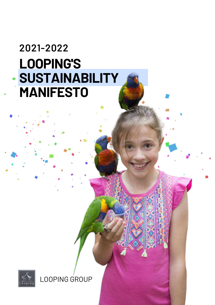# **LOOPING'S SUSTAINABILITY MANIFESTO 2021-2022**



LOOPING GROUP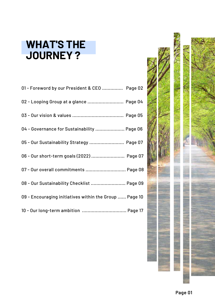# **WHAT'S THE JOURNEY ?**

| 01 - Foreword by our President & CEO  Page 02          |
|--------------------------------------------------------|
| 02 - Looping Group at a glance  Page 04                |
|                                                        |
| 04 - Governance for Sustainability  Page 06            |
| 05 - Our Sustainability Strategy  Page 07              |
| 06 - Our short-term goals (2022)  Page 07              |
| 07 - Our overall commitments  Page 08                  |
| 08 - Our Sustainability Checklist  Page 09             |
| 09 - Encouraging initiatives within the Group  Page 10 |
| 10 - Our long-term ambition  Page 17                   |

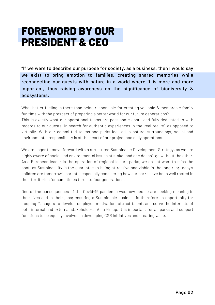# **FOREWORD BY OUR PRESIDENT & CEO**

"If we were to describe our purpose for society, as a business, then I would say we exist to bring emotion to families, creating shared memories while reconnecting our guests with nature in a world where it is more and more important, thus raising awareness on the significance of biodiversity & ecosystems.

What better feeling is there than being responsible for creating valuable & memorable family fun time with the prospect of preparing a better world for our future generations? This is exactly what our operational teams are passionate about and fully dedicated to with regards to our guests, in search for authentic experiences in the 'real reality', as opposed to virtually. With our committed teams and parks located in natural surroundings, social and environmental responsibility is at the heart of our project and daily operations.

We are eager to move forward with a structured Sustainable Development Strategy, as we are highly aware of social and environmental issues at stake; and one doesn't go without the other. As a European leader in the operation of regional leisure parks, we do not want to miss the boat, as Sustainability is the guarantee to being attractive and viable in the long run; today's children are tomorrow's parents, especially considering how our parks have been well rooted in their territories for sometimes three to four generations.

One of the consequences of the Covid-19 pandemic was how people are seeking meaning in their lives and in their jobs; ensuring a Sustainable business is therefore an opportunity for Looping Managers to develop employee motivation, attract talent, and serve the interests of both internal and external stakeholders. As a Group, it is important for all parks and support functions to be equally involved in developing CSR initiatives and creating value.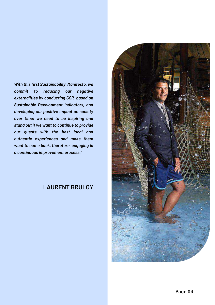### *With this first Sustainability Manifesto, we commit to reducing our negative externalities by conducting CSR based on Sustainable Development indicators, and developing our positive impact on society over time; we need to be inspiring and stand out if we want to continue to provide our guests with the best local and authentic experiences and make them want to come back, therefore engaging in a continuous improvement process."*

## **LAURENT BRULOY**

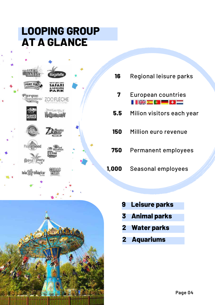# **LOOPING GROUP AT A GLANCE**



Regional leisure parks European countries Milion visitors each year Million euro revenue Permanent employees Seasonal employees **16 7 5.5 150 750 1,000**



- **9 Leisure parks**
- **3 Animal parks**
- **2 Water parks**
- **2 Aquariums**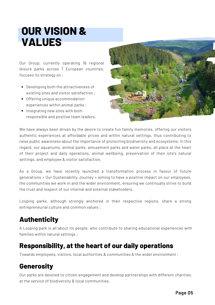# **OUR VISION & VALUES**

Our Group, currently operating 16 regional leisure parks across 7 European countries, focuses its strategy on :

- Developing both the attractiveness of existing sites and visitor satisfaction ;
- Offering unique accommodation experiences within animal parks ;
- Integrating new sites with both responsible and positive team leaders.



We have always been driven by the desire to create fun family memories, offering our visitors authentic experiences at affordable prices and within natural settings, thus contributing to raise public awareness about the importance of protecting biodiversity and ecosystems. In this regard, our aquariums, animal parks, amusement parks and water parks, all place at the heart of their project and daily operations, animal wellbeing, preservation of their site's natural settings, and employee & visitor satisfaction.

As a Group, we have recently launched a transformation process in favour of future generations « Our Sustainability Journey » aiming to have a positive impact on our employees, the communities we work in and the wider environment, ensuring we continually strive to build the trust and respect of our internal and external stakeholders.

Looping parks, although strongly anchored in their respective regions, share a strong entrepreneurial culture and common values :

## **Authenticity**

A Looping park is all about its people, who contribute to sharing educational experiences with families within natural settings ;

## **Responsibility, at the heart of our daily operations**

Towards employees, visitors, local authorities & communities & the wider environment ;

## **Generosity**

Our parks are devoted to citizen engagement and develop partnerships with different charities, at the service of biodiversity & local communities.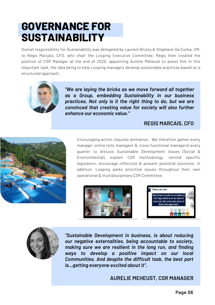# **GOVERNANCE FOR SUSTAINABILITY**

Overall responsibility for Sustainability was delegated by Laurent Bruloy & Stéphane Da Cunha, GM, to Régis Marçais, CFO, who chair the Looping Executive Committee. Régis then created the position of CSR Manager at the end of 2020, appointing Aurélie Méheust to assist him in this important task, the idea being to help Looping managers develop sustainable practices based on a structured approach.



*"We are laying the bricks as we move forward all together as a Group, embedding Sustainability in our business practices. Not only is it the right thing to do, but we are convinced that creating value for society will also further enhance our economic value."*

### **REGIS MARCAIS, CFO**



Encouraging action requires animation. We therefore gather every manager online (site managers & cross-functional managers) every quarter to discuss Sustainable Development issues (Social & Environmental), explain CSR methodology, remind specific legislation, encourage reflection & present potential solutions. In addition, Looping parks prioritise issues throughout their own operational & multidisciplinary CSR Committee.







*"Sustainable Development in business, is about reducing our negative externalities, being accountable to society, making sure we are resilient in the long run, and finding ways to develop a positive impact on our local Communities. And despite the difficult task, the best part is...getting everyone excited about it".*

**AURELIE MEHEUST, CSR MANAGER**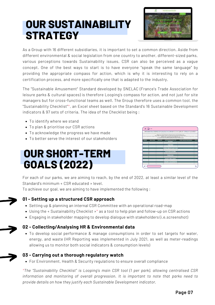# **OUR SUSTAINABILITY STRATEGY**



As a Group with 16 different subsidiaries, it is important to set a common direction. Aside from different environmental & social legislation from one country to another, different-sized parks, various perceptions towards Sustainability issues, CSR can also be perceived as a vague concept. One of the best ways to start is to have everyone "speak the same language" by providing the appropriate compass for action, which is why it is interesting to rely on a certification process, and more specifically one that is adapted to the industry.

The "Sustainable Amusement" Standard developed by SNELAC (France's Trade Association for leisure parks & cultural spaces) is therefore Looping's compass for action, and not just for site managers but for cross-functional teams as well. The Group therefore uses a common tool, the "Sustainability Checklist"\*, an Excel sheet based on the Standard's 16 Sustainable Development indicators & 97 sets of criteria. The idea of the Checklist being :

- To identify where we stand
- To plan & prioritise our CSR actions
- To acknowledge the progress we have made
- To better serve the interest of our stakeholders

# **OUR SHORT-TERM GOALS (2022)**



For each of our parks, we are aiming to reach, by the end of 2022, at least a similar level of the Standard's minimum « CSR educated » level.

To achieve our goal, we are aiming to have implemented the following :

#### **01 - Setting up a structured CSR approach**

- Setting up & planning an internal CSR Committee with an operational road-map
- Using the « Sustainability Checklist »\* as a tool to help plan and follow-up on CSR actions
- Engaging in stakeholder mapping to develop dialogue with stakeholders (i.e.screenshot)

#### **02 - Collecting/Analysing HR & Environmental data**

• To develop social performance & manage consumptions in order to set targets for water, energy, and waste (HR Reporting was implemented in July 2021, as well as meter-readings allowing us to monitor both social indicators & consumption levels)

#### **03 - Carrying out a thorough regulatory watch**

For Environment, Health & Security regulations to ensure overall compliance

*\*The "Sustainability Checklist" is Looping's main CSR tool (1 per park), allowing centralised CSR information and monitoring of overall progression. It is important to note that parks need to provide details on how they justify each Sustainable Development indicator.*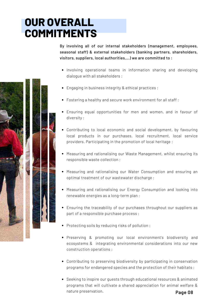# **OUR OVERALL COMMITMENTS**

By involving all of our internal stakeholders (management, employees, seasonal staff) & external stakeholders (banking partners, shareholders, visitors, suppliers, local authorities,...) we are committed to :

- Involving operational teams in information sharing and developing dialogue with all stakeholders ;
- Engaging in business integrity & ethical practices ;
- Fostering a healthy and secure work environment for all staff;
- Ensuring equal opportunities for men and women, and in favour of diversity ;
- Contributing to local economic and social development, by favouring local products in our purchases, local recruitment, local service providers. Participating in the promotion of local heritage ;
- Measuring and rationalising our Waste Management, whilst ensuring its responsible waste collection ;
- Measuring and rationalising our Water Consumption and ensuring an optimal treatment of our wastewater discharge ;
- Measuring and rationalising our Energy Consumption and looking into renewable energies as a long-term plan ;
- Ensuring the traceability of our purchases throughout our suppliers as part of a responsible purchase process ;
- Protecting soils by reducing risks of pollution ;
- Preserving & promoting our local environment's biodiversity and ecosystems & integrating environmental considerations into our new construction operations ;
- Contributing to preserving biodiversity by participating in conservation programs for endangered species and the protection of their habitats ;
- Seeking to inspire our quests through educational resources & animated programs that will cultivate a shared appreciation for animal welfare & nature preservation.

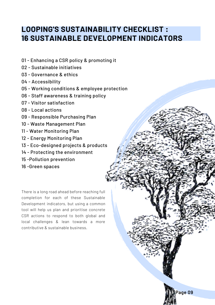## **LOOPING'S SUSTAINABILITY CHECKLIST : SUSTAINABLE DEVELOPMENT INDICATORS**

**Page 09**

- Enhancing a CSR policy & promoting it
- Sustainable initiatives
- Governance & ethics
- Accessibility
- Working conditions & employee protection
- Staff awareness & training policy
- Visitor satisfaction
- Local actions
- Responsible Purchasing Plan
- Waste Management Plan
- Water Monitoring Plan
- Energy Monitoring Plan
- Eco-designed projects & products
- Protecting the environment
- -Pollution prevention
- -Green spaces

There is a long road ahead before reaching full completion for each of these Sustainable Development indicators, but using a common tool will help us plan and prioritise concrete CSR actions to respond to both global and local challenges & lean towards a more contributive & sustainable business.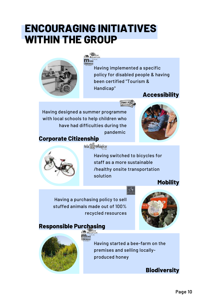# **ENCOURAGING INITIATIVES WITHIN THE GROUP**

nini



Having implemented a specific policy for disabled people & having been certified "Tourism & Handicap"

FORT FUN

## **Accessibility**

Having designed a summer programme with local schools to help children who have had difficulties during the pandemic **Corporate Citizenship**





**Isla** Mágica

Having switched to bicycles for staff as a more sustainable /healthy onsite transportation solution

**Mobility**

Having a purchasing policy to sell stuffed animals made out of 100% recycled resources



### **Responsible Purchasing**



Having started a bee-farm on the premises and selling locallyproduced honey

**Biodiversity**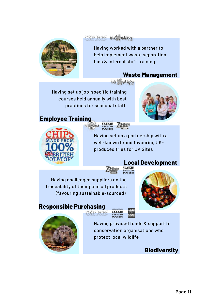### ZOOFLECHE Isla & Mágica



Having worked with a partner to help implement waste separation bins & internal staff training

### **Waste Management**

Isla & Mágica

Having set up job-specific training courses held annually with best practices for seasonal staff

## **Employee Training**





Having set up a partnership with a well-known brand favouring UKproduced fries for UK Sites

### **Local Development**

Having challenged suppliers on the traceability of their palm oil products (favouring sustainable-sourced)

**ZOOFLECHE** 





**Responsible Purchasing**

Having provided funds & support to conservation organisations who protect local wildlife

### **Biodiversity**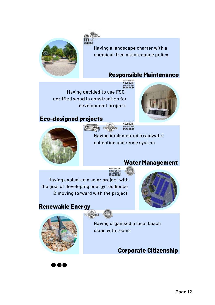

Having a landscape charter with a chemical-free maintenance policy

### **Responsible Maintenance**

Having decided to use FSCcertified wood in construction for development projects

**Tini** 

## **Eco-designed projects**





FORT FUN Pieasurewood

> Having implemented a rainwater collection and reuse system

SAFARI<br>SLEISURE<br>PARK

## **Water Management**

Having evaluated a solar project with the goal of developing energy resilience & moving forward with the project



### **Renewable Energy**





Having organised a local beach clean with teams

## **Corporate Citizenship**

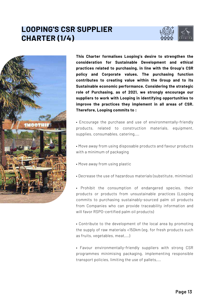# **LOOPING'S CSR SUPPLIER CHARTER (1/4)**





**This Charter formalises Looping's desire to strengthen the consideration for Sustainable Development and ethical practices related to purchasing, in line with the Group's CSR policy and Corporate values. The purchasing function contributes to creating value within the Group and to its Sustainable economic performance. Considering the strategic role of Purchasing, as of 2021, we strongly encourage our suppliers to work with Looping in identifying opportunities to improve the practices they implement in all areas of CSR. Therefore, Looping commits to :**

• Encourage the purchase and use of environmentally-friendly products, related to construction materials, equipment, supplies, consumables, catering,...

• Move away from using disposable products and favour products with a minimum of packaging

- Move away from using plastic
- Decrease the use of hazardous materials (substitute, minimise)

• Prohibit the consumption of endangered species, their products or products from unsustainable practices (Looping commits to purchasing sustainably-sourced palm oil products from Companies who can provide traceability information and will favor RSPO-certified palm oil products)

• Contribute to the development of the local area by promoting the supply of raw materials <150km (eg. for fresh products such as fruits, vegetables, meat,...)

• Favour environmentally-friendly suppliers with strong CSR programmes minimising packaging, implementing responsible transport policies, limiting the use of pallets,...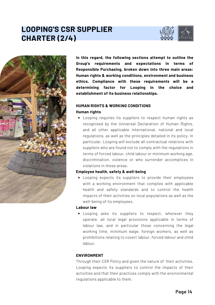# **LOOPING'S CSR SUPPLIER CHARTER (2/4)**





**In this regard, the following sections attempt to outline the Group's requirements and expectations in terms of Responsible Purchasing, broken down into three main areas: Human rights & working conditions, environment and business ethics. Compliance with these requirements will be a determining factor for Looping in the choice and establishment of its business relationships.**

#### **HUMAN RIGHTS & WORKING CONDITIONS Human rights**

Looping requires its suppliers to respect human rights as recognised by the Universal Declaration of Human Rights, and all other applicable international, national and local regulations, as well as the principles detailed in its policy. In particular, Looping will exclude all contractual relations with suppliers who are found not to comply with the regulations in terms of forced labour, child labour or minimum working age, discrimination, violence or who surrender accomplices in violations in these areas.

#### **Employee health, safety & well-being**

Looping expects its suppliers to provide their employees with a working environment that complies with applicable health and safety standards and to control the health impacts of their activities on local populations as well as the well-being of its employees.

#### **Labour law**

Looping asks its suppliers to respect, wherever they operate, all local legal provisions applicable in terms of labour law, and in particular those concerning the legal working time, minimum wage, foreign workers, as well as prohibitions relating to covert labour, forced labour and child labour.

#### **ENVIRONMENT**

Through their CSR Policy and given the nature of their activities, Looping expects its suppliers to control the impacts of their activities and that their practices comply with the environmental regulations applicable to them.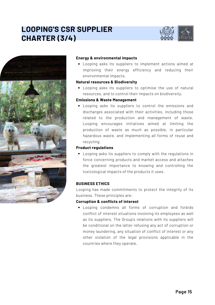# **LOOPING'S CSR SUPPLIER CHARTER (3/4)**





#### **Energy & environmental impacts**

Looping asks its suppliers to implement actions aimed at improving their energy efficiency and reducing their environmental impacts.

#### **Natural resources & Biodiversity**

Looping asks its suppliers to optimise the use of natural resources, and to control their impacts on biodiversity.

#### **Emissions & Waste Management**

Looping asks its suppliers to control the emissions and discharges associated with their activities, including those related to the production and management of waste. Looping encourages initiatives aimed at limiting the production of waste as much as possible, in particular hazardous waste, and implementing all forms of reuse and recycling.

#### **Product regulations**

Looping asks its suppliers to comply with the regulations in force concerning products and market access and attaches the greatest importance to knowing and controlling the toxicological impacts of the products it uses.

#### **BUSINESS ETHICS**

Looping has made commitments to protect the integrity of its business. These principles are:

#### **Corruption & conflicts of interest**

Looping condemns all forms of corruption and forbids conflict of interest situations involving its employees as well as its suppliers. The Group's relations with its suppliers will be conditional on the latter refusing any act of corruption or money laundering, any situation of conflict of interest or any other violation of the legal provisions applicable in the countries where they operate.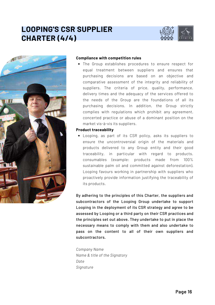# **LOOPING'S CSR SUPPLIER CHARTER (4/4)**





#### **Compliance with competition rules**

The Group establishes procedures to ensure respect for equal treatment between suppliers and ensures that purchasing decisions are based on an objective and comparative assessment of the integrity and reliability of suppliers. The criteria of price, quality, performance, delivery times and the adequacy of the services offered to the needs of the Group are the foundations of all its purchasing decisions. In addition, the Group strictly complies with regulations which prohibit any agreement, concerted practice or abuse of a dominant position on the market vis-à-vis its suppliers.

#### **Product traceability**

Looping, as part of its CSR policy, asks its suppliers to ensure the uncontroversial origin of the materials and products delivered to any Group entity and their good traceability, in particular with regard to products. consumables (example: products made from 100% sustainable palm oil and committed against deforestation). Looping favours working in partnership with suppliers who proactively provide information justifying the traceability of its products.

By adhering to the principles of this Charter, the suppliers and subcontractors of the Looping Group undertake to support Looping in the deployment of its CSR strategy and agree to be assessed by Looping or a third party on their CSR practices and the principles set out above. They undertake to put in place the necessary means to comply with them and also undertake to pass on the content to all of their own suppliers and subcontractors.

*Company Name Name & title of the Signatory Date Signature*